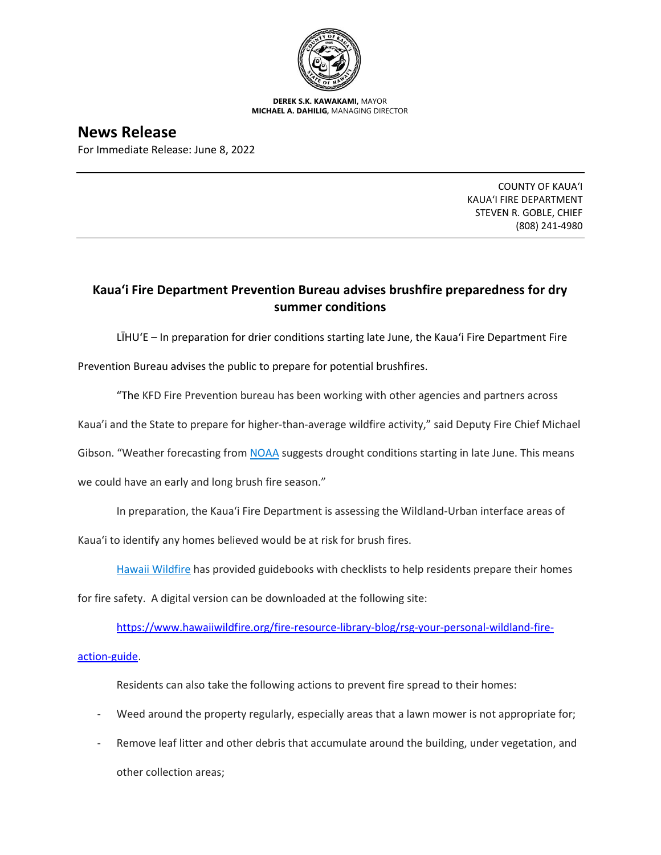

**DEREK S.K. KAWAKAMI,** MAYOR **MICHAEL A. DAHILIG,** MANAGING DIRECTOR

## **News Release**

For Immediate Release: June 8, 2022

COUNTY OF KAUA'I KAUA'I FIRE DEPARTMENT STEVEN R. GOBLE, CHIEF (808) 241-4980

## **Kaua'i Fire Department Prevention Bureau advises brushfire preparedness for dry summer conditions**

LĪHU'E – In preparation for drier conditions starting late June, the Kaua'i Fire Department Fire

Prevention Bureau advises the public to prepare for potential brushfires.

"The KFD Fire Prevention bureau has been working with other agencies and partners across

Kaua'i and the State to prepare for higher-than-average wildfire activity," said Deputy Fire Chief Michael

Gibson. "Weather forecasting from [NOAA](https://www.noaa.gov/) suggests drought conditions starting in late June. This means

we could have an early and long brush fire season."

In preparation, the Kaua'i Fire Department is assessing the Wildland-Urban interface areas of

Kaua'i to identify any homes believed would be at risk for brush fires.

[Hawaii Wildfire](https://www.hawaiiwildfire.org/) has provided guidebooks with checklists to help residents prepare their homes

for fire safety. A digital version can be downloaded at the following site:

[https://www.hawaiiwildfire.org/fire-resource-library-blog/rsg-your-personal-wildland-fire-](https://www.hawaiiwildfire.org/fire-resource-library-blog/rsg-your-personal-wildland-fire-action-guide)

[action-guide.](https://www.hawaiiwildfire.org/fire-resource-library-blog/rsg-your-personal-wildland-fire-action-guide)

Residents can also take the following actions to prevent fire spread to their homes:

- Weed around the property regularly, especially areas that a lawn mower is not appropriate for;
- Remove leaf litter and other debris that accumulate around the building, under vegetation, and other collection areas;